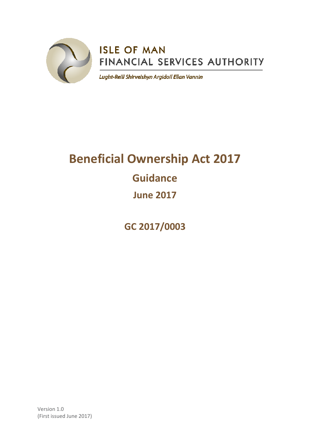

# **ISLE OF MAN** FINANCIAL SERVICES AUTHORITY

Lught-Reill Shirveishyn Argidoil Ellan Vannin

# **Beneficial Ownership Act 2017 Guidance June 2017**

**GC 2017/0003**

Version 1.0 (First issued June 2017)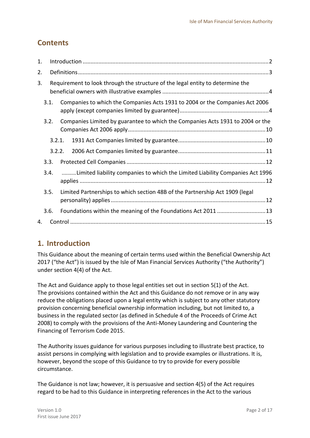## **Contents**

| 1.   |        |                                                                                |  |
|------|--------|--------------------------------------------------------------------------------|--|
| 2.   |        |                                                                                |  |
| 3.   |        | Requirement to look through the structure of the legal entity to determine the |  |
| 3.1. |        | Companies to which the Companies Acts 1931 to 2004 or the Companies Act 2006   |  |
|      | 3.2.   | Companies Limited by guarantee to which the Companies Acts 1931 to 2004 or the |  |
|      | 3.2.1. |                                                                                |  |
|      | 3.2.2. |                                                                                |  |
| 3.3. |        |                                                                                |  |
| 3.4. |        | Limited liability companies to which the Limited Liability Companies Act 1996  |  |
| 3.5. |        | Limited Partnerships to which section 48B of the Partnership Act 1909 (legal   |  |
| 3.6. |        | Foundations within the meaning of the Foundations Act 2011 13                  |  |
| 4.   |        |                                                                                |  |

## <span id="page-1-0"></span>**1. Introduction**

This Guidance about the meaning of certain terms used within the Beneficial Ownership Act 2017 ("the Act") is issued by the Isle of Man Financial Services Authority ("the Authority") under section 4(4) of the Act.

The Act and Guidance apply to those legal entities set out in section 5(1) of the Act. The provisions contained within the Act and this Guidance do not remove or in any way reduce the obligations placed upon a legal entity which is subject to any other statutory provision concerning beneficial ownership information including, but not limited to, a business in the regulated sector (as defined in Schedule 4 of the Proceeds of Crime Act 2008) to comply with the provisions of the Anti-Money Laundering and Countering the Financing of Terrorism Code 2015.

The Authority issues guidance for various purposes including to illustrate best practice, to assist persons in complying with legislation and to provide examples or illustrations. It is, however, beyond the scope of this Guidance to try to provide for every possible circumstance.

The Guidance is not law; however, it is persuasive and section 4(5) of the Act requires regard to be had to this Guidance in interpreting references in the Act to the various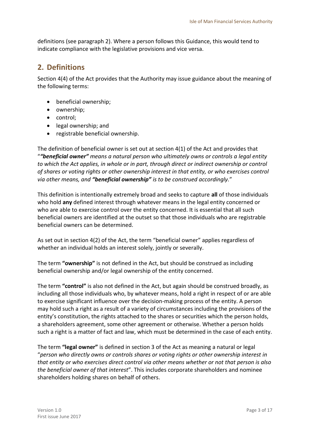definitions (see paragraph 2). Where a person follows this Guidance, this would tend to indicate compliance with the legislative provisions and vice versa.

## <span id="page-2-0"></span>**2. Definitions**

Section 4(4) of the Act provides that the Authority may issue guidance about the meaning of the following terms:

- beneficial ownership;
- ownership;
- control;
- legal ownership; and
- registrable beneficial ownership.

The definition of beneficial owner is set out at section 4(1) of the Act and provides that "*"beneficial owner" means a natural person who ultimately owns or controls a legal entity to which the Act applies, in whole or in part, through direct or indirect ownership or control of shares or voting rights or other ownership interest in that entity, or who exercises control via other means, and "beneficial ownership" is to be construed accordingly.*"

This definition is intentionally extremely broad and seeks to capture **all** of those individuals who hold **any** defined interest through whatever means in the legal entity concerned or who are able to exercise control over the entity concerned. It is essential that all such beneficial owners are identified at the outset so that those individuals who are registrable beneficial owners can be determined.

As set out in section 4(2) of the Act, the term "beneficial owner" applies regardless of whether an individual holds an interest solely, jointly or severally.

The term **"ownership"** is not defined in the Act, but should be construed as including beneficial ownership and/or legal ownership of the entity concerned.

The term **"control"** is also not defined in the Act, but again should be construed broadly, as including all those individuals who, by whatever means, hold a right in respect of or are able to exercise significant influence over the decision-making process of the entity. A person may hold such a right as a result of a variety of circumstances including the provisions of the entity's constitution, the rights attached to the shares or securities which the person holds, a shareholders agreement, some other agreement or otherwise. Whether a person holds such a right is a matter of fact and law, which must be determined in the case of each entity.

The term **"legal owner"** is defined in section 3 of the Act as meaning a natural or legal "*person who directly owns or controls shares or voting rights or other ownership interest in that entity or who exercises direct control via other means whether or not that person is also the beneficial owner of that interest*". This includes corporate shareholders and nominee shareholders holding shares on behalf of others.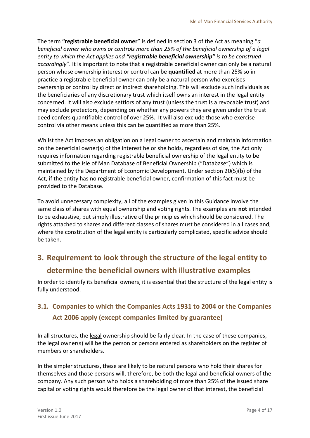The term **"registrable beneficial owner"** is defined in section 3 of the Act as meaning "*a beneficial owner who owns or controls more than 25% of the beneficial ownership of a legal entity to which the Act applies and "registrable beneficial ownership" is to be construed accordingly*". It is important to note that a registrable beneficial owner can only be a natural person whose ownership interest or control can be **quantified** at more than 25% so in practice a registrable beneficial owner can only be a natural person who exercises ownership or control by direct or indirect shareholding. This will exclude such individuals as the beneficiaries of any discretionary trust which itself owns an interest in the legal entity concerned. It will also exclude settlors of any trust (unless the trust is a revocable trust) and may exclude protectors, depending on whether any powers they are given under the trust deed confers quantifiable control of over 25%. It will also exclude those who exercise control via other means unless this can be quantified as more than 25%.

Whilst the Act imposes an obligation on a legal owner to ascertain and maintain information on the beneficial owner(s) of the interest he or she holds, regardless of size, the Act only requires information regarding registrable beneficial ownership of the legal entity to be submitted to the Isle of Man Database of Beneficial Ownership ("Database") which is maintained by the Department of Economic Development. Under section 20(5)(b) of the Act, if the entity has no registrable beneficial owner, confirmation of this fact must be provided to the Database.

To avoid unnecessary complexity, all of the examples given in this Guidance involve the same class of shares with equal ownership and voting rights. The examples are **not** intended to be exhaustive, but simply illustrative of the principles which should be considered. The rights attached to shares and different classes of shares must be considered in all cases and, where the constitution of the legal entity is particularly complicated, specific advice should be taken.

## <span id="page-3-0"></span>**3. Requirement to look through the structure of the legal entity to determine the beneficial owners with illustrative examples**

In order to identify its beneficial owners, it is essential that the structure of the legal entity is fully understood.

## <span id="page-3-1"></span>**3.1. Companies to which the Companies Acts 1931 to 2004 or the Companies Act 2006 apply (except companies limited by guarantee)**

In all structures, the legal ownership should be fairly clear. In the case of these companies, the legal owner(s) will be the person or persons entered as shareholders on the register of members or shareholders.

In the simpler structures, these are likely to be natural persons who hold their shares for themselves and those persons will, therefore, be both the legal and beneficial owners of the company. Any such person who holds a shareholding of more than 25% of the issued share capital or voting rights would therefore be the legal owner of that interest, the beneficial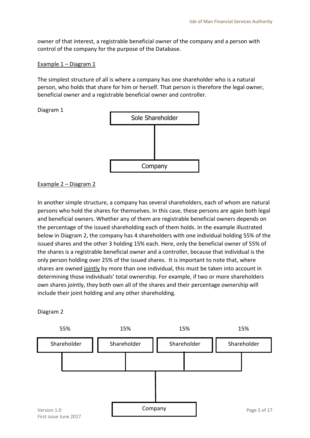owner of that interest, a registrable beneficial owner of the company and a person with control of the company for the purpose of the Database.

#### Example 1 – Diagram 1

The simplest structure of all is where a company has one shareholder who is a natural person, who holds that share for him or herself. That person is therefore the legal owner, beneficial owner and a registrable beneficial owner and controller.





#### Example 2 – Diagram 2

In another simple structure, a company has several shareholders, each of whom are natural persons who hold the shares for themselves. In this case, these persons are again both legal and beneficial owners. Whether any of them are registrable beneficial owners depends on the percentage of the issued shareholding each of them holds. In the example illustrated below in Diagram 2, the company has 4 shareholders with one individual holding 55% of the issued shares and the other 3 holding 15% each. Here, only the beneficial owner of 55% of the shares is a registrable beneficial owner and a controller, because that individual is the only person holding over 25% of the issued shares. It is important to note that, where shares are owned jointly by more than one individual, this must be taken into account in determining those individuals' total ownership. For example, if two or more shareholders own shares jointly, they both own all of the shares and their percentage ownership will include their joint holding and any other shareholding.

#### Diagram 2

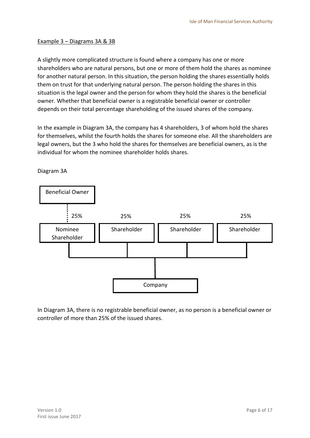#### Example 3 – Diagrams 3A & 3B

A slightly more complicated structure is found where a company has one or more shareholders who are natural persons, but one or more of them hold the shares as nominee for another natural person. In this situation, the person holding the shares essentially holds them on trust for that underlying natural person. The person holding the shares in this situation is the legal owner and the person for whom they hold the shares is the beneficial owner. Whether that beneficial owner is a registrable beneficial owner or controller depends on their total percentage shareholding of the issued shares of the company.

In the example in Diagram 3A, the company has 4 shareholders, 3 of whom hold the shares for themselves, whilst the fourth holds the shares for someone else. All the shareholders are legal owners, but the 3 who hold the shares for themselves are beneficial owners, as is the individual for whom the nominee shareholder holds shares.



Diagram 3A

In Diagram 3A, there is no registrable beneficial owner, as no person is a beneficial owner or controller of more than 25% of the issued shares.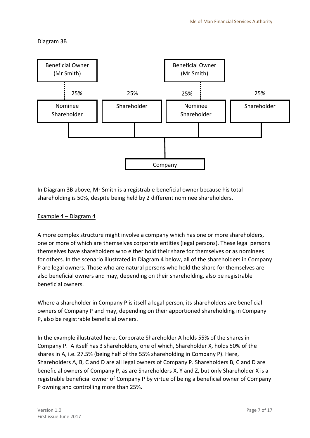Diagram 3B



In Diagram 3B above, Mr Smith is a registrable beneficial owner because his total shareholding is 50%, despite being held by 2 different nominee shareholders.

#### Example 4 – Diagram 4

A more complex structure might involve a company which has one or more shareholders, one or more of which are themselves corporate entities (legal persons). These legal persons themselves have shareholders who either hold their share for themselves or as nominees for others. In the scenario illustrated in Diagram 4 below, all of the shareholders in Company P are legal owners. Those who are natural persons who hold the share for themselves are also beneficial owners and may, depending on their shareholding, also be registrable beneficial owners.

Where a shareholder in Company P is itself a legal person, its shareholders are beneficial owners of Company P and may, depending on their apportioned shareholding in Company P, also be registrable beneficial owners.

In the example illustrated here, Corporate Shareholder A holds 55% of the shares in Company P. A itself has 3 shareholders, one of which, Shareholder X, holds 50% of the shares in A, i.e. 27.5% (being half of the 55% shareholding in Company P). Here, Shareholders A, B, C and D are all legal owners of Company P. Shareholders B, C and D are beneficial owners of Company P, as are Shareholders X, Y and Z, but only Shareholder X is a registrable beneficial owner of Company P by virtue of being a beneficial owner of Company P owning and controlling more than 25%.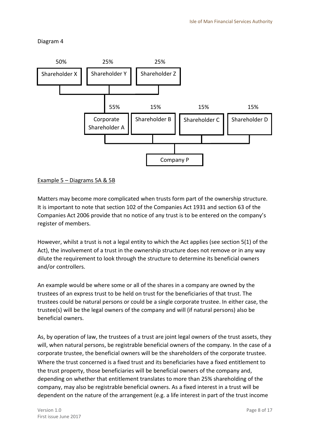Diagram 4





Matters may become more complicated when trusts form part of the ownership structure. It is important to note that section 102 of the Companies Act 1931 and section 63 of the Companies Act 2006 provide that no notice of any trust is to be entered on the company's register of members.

However, whilst a trust is not a legal entity to which the Act applies (see section 5(1) of the Act), the involvement of a trust in the ownership structure does not remove or in any way dilute the requirement to look through the structure to determine its beneficial owners and/or controllers.

An example would be where some or all of the shares in a company are owned by the trustees of an express trust to be held on trust for the beneficiaries of that trust. The trustees could be natural persons or could be a single corporate trustee. In either case, the trustee(s) will be the legal owners of the company and will (if natural persons) also be beneficial owners.

As, by operation of law, the trustees of a trust are joint legal owners of the trust assets, they will, when natural persons, be registrable beneficial owners of the company. In the case of a corporate trustee, the beneficial owners will be the shareholders of the corporate trustee. Where the trust concerned is a fixed trust and its beneficiaries have a fixed entitlement to the trust property, those beneficiaries will be beneficial owners of the company and, depending on whether that entitlement translates to more than 25% shareholding of the company, may also be registrable beneficial owners. As a fixed interest in a trust will be dependent on the nature of the arrangement (e.g. a life interest in part of the trust income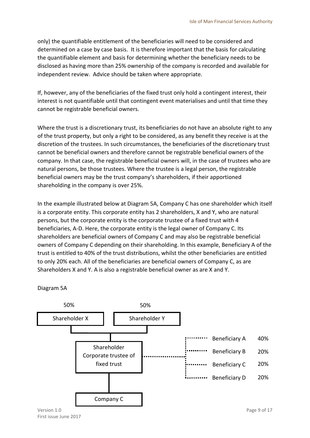only) the quantifiable entitlement of the beneficiaries will need to be considered and determined on a case by case basis. It is therefore important that the basis for calculating the quantifiable element and basis for determining whether the beneficiary needs to be disclosed as having more than 25% ownership of the company is recorded and available for independent review. Advice should be taken where appropriate.

If, however, any of the beneficiaries of the fixed trust only hold a contingent interest, their interest is not quantifiable until that contingent event materialises and until that time they cannot be registrable beneficial owners.

Where the trust is a discretionary trust, its beneficiaries do not have an absolute right to any of the trust property, but only a right to be considered, as any benefit they receive is at the discretion of the trustees. In such circumstances, the beneficiaries of the discretionary trust cannot be beneficial owners and therefore cannot be registrable beneficial owners of the company. In that case, the registrable beneficial owners will, in the case of trustees who are natural persons, be those trustees. Where the trustee is a legal person, the registrable beneficial owners may be the trust company's shareholders, if their apportioned shareholding in the company is over 25%.

In the example illustrated below at Diagram 5A, Company C has one shareholder which itself is a corporate entity. This corporate entity has 2 shareholders, X and Y, who are natural persons, but the corporate entity is the corporate trustee of a fixed trust with 4 beneficiaries, A-D. Here, the corporate entity is the legal owner of Company C. Its shareholders are beneficial owners of Company C and may also be registrable beneficial owners of Company C depending on their shareholding. In this example, Beneficiary A of the trust is entitled to 40% of the trust distributions, whilst the other beneficiaries are entitled to only 20% each. All of the beneficiaries are beneficial owners of Company C, as are Shareholders X and Y. A is also a registrable beneficial owner as are X and Y.



Diagram 5A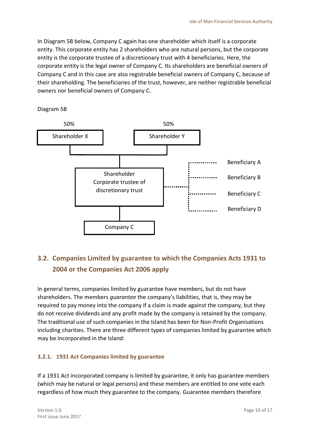In Diagram 5B below, Company C again has one shareholder which itself is a corporate entity. This corporate entity has 2 shareholders who are natural persons, but the corporate entity is the corporate trustee of a discretionary trust with 4 beneficiaries. Here, the corporate entity is the legal owner of Company C. Its shareholders are beneficial owners of Company C and in this case are also registrable beneficial owners of Company C, because of their shareholding. The beneficiaries of the trust, however, are neither registrable beneficial owners nor beneficial owners of Company C.





## <span id="page-9-0"></span>**3.2. Companies Limited by guarantee to which the Companies Acts 1931 to 2004 or the Companies Act 2006 apply**

In general terms, companies limited by guarantee have members, but do not have shareholders. The members *guarantee* the company's liabilities, that is, they may be required to pay money into the company if a claim is made against the company, but they do not receive dividends and any profit made by the company is retained by the company. The traditional use of such companies in the Island has been for Non-Profit Organisations including charities. There are three different types of companies limited by guarantee which may be incorporated in the Island:

#### <span id="page-9-1"></span>**3.2.1. 1931 Act Companies limited by guarantee**

If a 1931 Act incorporated company is limited by guarantee, it only has guarantee members (which may be natural or legal persons) and these members are entitled to one vote each regardless of how much they guarantee to the company. Guarantee members therefore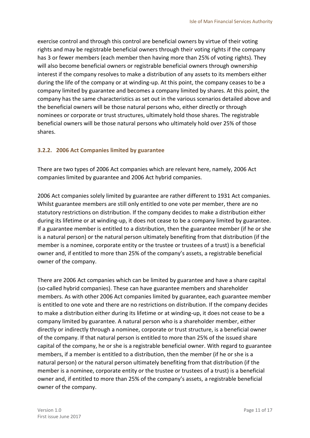exercise control and through this control are beneficial owners by virtue of their voting rights and may be registrable beneficial owners through their voting rights if the company has 3 or fewer members (each member then having more than 25% of voting rights). They will also become beneficial owners or registrable beneficial owners through ownership interest if the company resolves to make a distribution of any assets to its members either during the life of the company or at winding-up. At this point, the company ceases to be a company limited by guarantee and becomes a company limited by shares. At this point, the company has the same characteristics as set out in the various scenarios detailed above and the beneficial owners will be those natural persons who, either directly or through nominees or corporate or trust structures, ultimately hold those shares. The registrable beneficial owners will be those natural persons who ultimately hold over 25% of those shares.

#### <span id="page-10-0"></span>**3.2.2. 2006 Act Companies limited by guarantee**

There are two types of 2006 Act companies which are relevant here, namely, 2006 Act companies limited by guarantee and 2006 Act hybrid companies.

2006 Act companies solely limited by guarantee are rather different to 1931 Act companies. Whilst guarantee members are still only entitled to one vote per member, there are no statutory restrictions on distribution. If the company decides to make a distribution either during its lifetime or at winding-up, it does not cease to be a company limited by guarantee. If a guarantee member is entitled to a distribution, then the guarantee member (if he or she is a natural person) or the natural person ultimately benefiting from that distribution (if the member is a nominee, corporate entity or the trustee or trustees of a trust) is a beneficial owner and, if entitled to more than 25% of the company's assets, a registrable beneficial owner of the company.

There are 2006 Act companies which can be limited by guarantee and have a share capital (so-called hybrid companies). These can have guarantee members and shareholder members. As with other 2006 Act companies limited by guarantee, each guarantee member is entitled to one vote and there are no restrictions on distribution. If the company decides to make a distribution either during its lifetime or at winding-up, it does not cease to be a company limited by guarantee. A natural person who is a shareholder member, either directly or indirectly through a nominee, corporate or trust structure, is a beneficial owner of the company. If that natural person is entitled to more than 25% of the issued share capital of the company, he or she is a registrable beneficial owner. With regard to guarantee members, if a member is entitled to a distribution, then the member (if he or she is a natural person) or the natural person ultimately benefiting from that distribution (if the member is a nominee, corporate entity or the trustee or trustees of a trust) is a beneficial owner and, if entitled to more than 25% of the company's assets, a registrable beneficial owner of the company.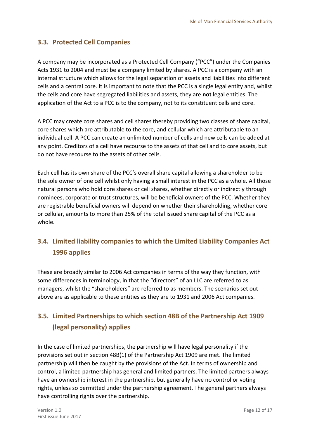#### <span id="page-11-0"></span>**3.3. Protected Cell Companies**

A company may be incorporated as a Protected Cell Company ("PCC") under the Companies Acts 1931 to 2004 and must be a company limited by shares. A PCC is a company with an internal structure which allows for the legal separation of assets and liabilities into different cells and a central core. It is important to note that the PCC is a single legal entity and, whilst the cells and core have segregated liabilities and assets, they are **not** legal entities. The application of the Act to a PCC is to the company, not to its constituent cells and core.

A PCC may create core shares and cell shares thereby providing two classes of share capital, core shares which are attributable to the core, and cellular which are attributable to an individual cell. A PCC can create an unlimited number of cells and new cells can be added at any point. Creditors of a cell have recourse to the assets of that cell and to core assets, but do not have recourse to the assets of other cells.

Each cell has its own share of the PCC's overall share capital allowing a shareholder to be the sole owner of one cell whilst only having a small interest in the PCC as a whole. All those natural persons who hold core shares or cell shares, whether directly or indirectly through nominees, corporate or trust structures, will be beneficial owners of the PCC. Whether they are registrable beneficial owners will depend on whether their shareholding, whether core or cellular, amounts to more than 25% of the total issued share capital of the PCC as a whole.

## <span id="page-11-1"></span>**3.4. Limited liability companies to which the Limited Liability Companies Act 1996 applies**

These are broadly similar to 2006 Act companies in terms of the way they function, with some differences in terminology, in that the "directors" of an LLC are referred to as managers, whilst the "shareholders" are referred to as members. The scenarios set out above are as applicable to these entities as they are to 1931 and 2006 Act companies.

## <span id="page-11-2"></span>**3.5. Limited Partnerships to which section 48B of the Partnership Act 1909 (legal personality) applies**

In the case of limited partnerships, the partnership will have legal personality if the provisions set out in section 48B(1) of the Partnership Act 1909 are met. The limited partnership will then be caught by the provisions of the Act. In terms of ownership and control, a limited partnership has general and limited partners. The limited partners always have an ownership interest in the partnership, but generally have no control or voting rights, unless so permitted under the partnership agreement. The general partners always have controlling rights over the partnership.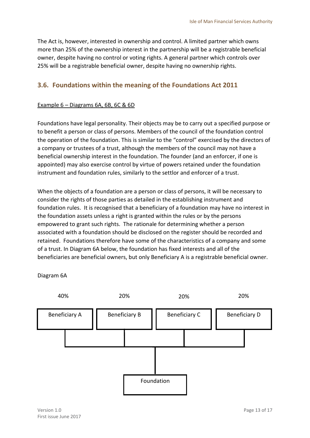The Act is, however, interested in ownership and control. A limited partner which owns more than 25% of the ownership interest in the partnership will be a registrable beneficial owner, despite having no control or voting rights. A general partner which controls over 25% will be a registrable beneficial owner, despite having no ownership rights.

#### <span id="page-12-0"></span>**3.6. Foundations within the meaning of the Foundations Act 2011**

#### Example 6 – Diagrams 6A, 6B, 6C & 6D

Foundations have legal personality. Their objects may be to carry out a specified purpose or to benefit a person or class of persons. Members of the council of the foundation control the operation of the foundation. This is similar to the "control" exercised by the directors of a company or trustees of a trust, although the members of the council may not have a beneficial ownership interest in the foundation. The founder (and an enforcer, if one is appointed) may also exercise control by virtue of powers retained under the foundation instrument and foundation rules, similarly to the settlor and enforcer of a trust.

When the objects of a foundation are a person or class of persons, it will be necessary to consider the rights of those parties as detailed in the establishing instrument and foundation rules. It is recognised that a beneficiary of a foundation may have no interest in the foundation assets unless a right is granted within the rules or by the persons empowered to grant such rights. The rationale for determining whether a person associated with a foundation should be disclosed on the register should be recorded and retained. Foundations therefore have some of the characteristics of a company and some of a trust. In Diagram 6A below, the foundation has fixed interests and all of the beneficiaries are beneficial owners, but only Beneficiary A is a registrable beneficial owner.



Diagram 6A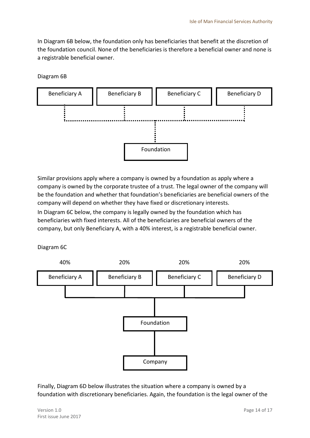In Diagram 6B below, the foundation only has beneficiaries that benefit at the discretion of the foundation council. None of the beneficiaries is therefore a beneficial owner and none is a registrable beneficial owner.

Diagram 6B



Similar provisions apply where a company is owned by a foundation as apply where a company is owned by the corporate trustee of a trust. The legal owner of the company will be the foundation and whether that foundation's beneficiaries are beneficial owners of the company will depend on whether they have fixed or discretionary interests.

In Diagram 6C below, the company is legally owned by the foundation which has beneficiaries with fixed interests. All of the beneficiaries are beneficial owners of the company, but only Beneficiary A, with a 40% interest, is a registrable beneficial owner.

Diagram 6C



Finally, Diagram 6D below illustrates the situation where a company is owned by a foundation with discretionary beneficiaries. Again, the foundation is the legal owner of the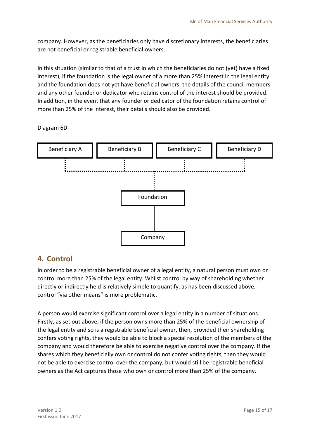company. However, as the beneficiaries only have discretionary interests, the beneficiaries are not beneficial or registrable beneficial owners.

In this situation (similar to that of a trust in which the beneficiaries do not (yet) have a fixed interest), if the foundation is the legal owner of a more than 25% interest in the legal entity and the foundation does not yet have beneficial owners, the details of the council members and any other founder or dedicator who retains control of the interest should be provided. In addition, in the event that any founder or dedicator of the foundation retains control of more than 25% of the interest, their details should also be provided.

Diagram 6D



## <span id="page-14-0"></span>**4. Control**

In order to be a registrable beneficial owner of a legal entity, a natural person must own or control more than 25% of the legal entity. Whilst control by way of shareholding whether directly or indirectly held is relatively simple to quantify, as has been discussed above, control "via other means" is more problematic.

A person would exercise significant control over a legal entity in a number of situations. Firstly, as set out above, if the person owns more than 25% of the beneficial ownership of the legal entity and so is a registrable beneficial owner, then, provided their shareholding confers voting rights, they would be able to block a special resolution of the members of the company and would therefore be able to exercise negative control over the company. If the shares which they beneficially own or control do not confer voting rights, then they would not be able to exercise control over the company, but would still be registrable beneficial owners as the Act captures those who own or control more than 25% of the company.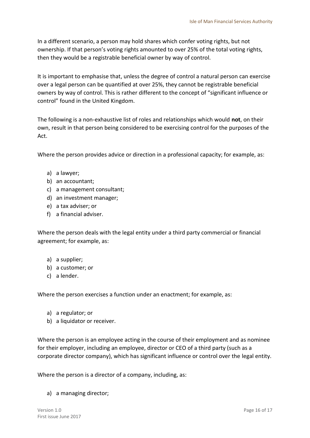In a different scenario, a person may hold shares which confer voting rights, but not ownership. If that person's voting rights amounted to over 25% of the total voting rights, then they would be a registrable beneficial owner by way of control.

It is important to emphasise that, unless the degree of control a natural person can exercise over a legal person can be quantified at over 25%, they cannot be registrable beneficial owners by way of control. This is rather different to the concept of "significant influence or control" found in the United Kingdom.

The following is a non-exhaustive list of roles and relationships which would **not**, on their own, result in that person being considered to be exercising control for the purposes of the Act.

Where the person provides advice or direction in a professional capacity; for example, as:

- a) a lawyer;
- b) an accountant;
- c) a management consultant;
- d) an investment manager;
- e) a tax adviser; or
- f) a financial adviser.

Where the person deals with the legal entity under a third party commercial or financial agreement; for example, as:

- a) a supplier;
- b) a customer; or
- c) a lender.

Where the person exercises a function under an enactment; for example, as:

- a) a regulator; or
- b) a liquidator or receiver.

Where the person is an employee acting in the course of their employment and as nominee for their employer, including an employee, director or CEO of a third party (such as a corporate director company), which has significant influence or control over the legal entity.

Where the person is a director of a company, including, as:

a) a managing director;